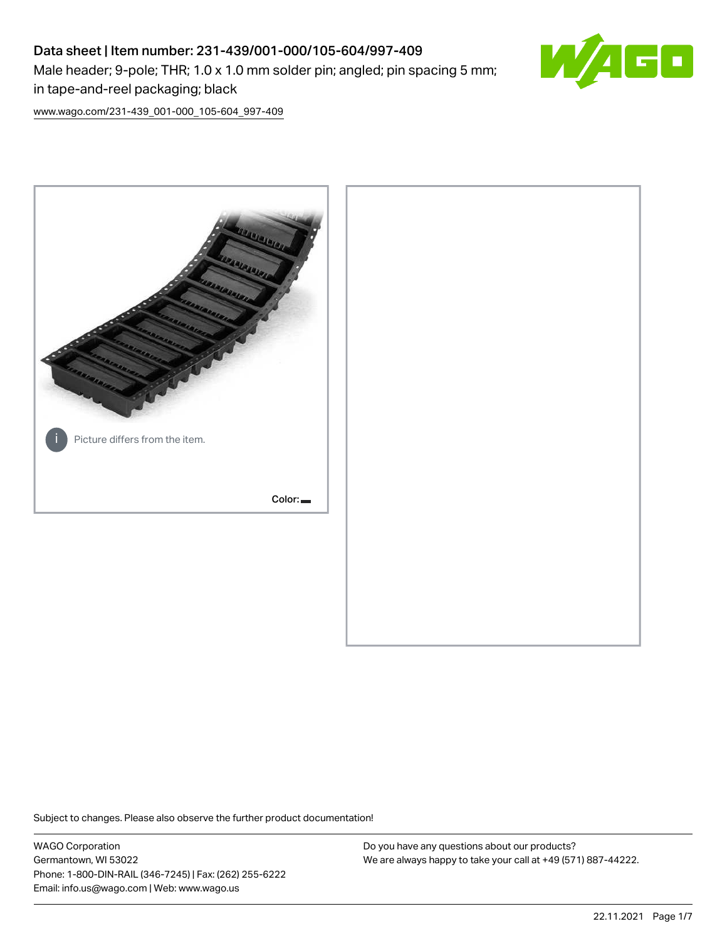# Data sheet | Item number: 231-439/001-000/105-604/997-409 Male header; 9-pole; THR; 1.0 x 1.0 mm solder pin; angled; pin spacing 5 mm; in tape-and-reel packaging; black



[www.wago.com/231-439\\_001-000\\_105-604\\_997-409](http://www.wago.com/231-439_001-000_105-604_997-409)



Subject to changes. Please also observe the further product documentation!

WAGO Corporation Germantown, WI 53022 Phone: 1-800-DIN-RAIL (346-7245) | Fax: (262) 255-6222 Email: info.us@wago.com | Web: www.wago.us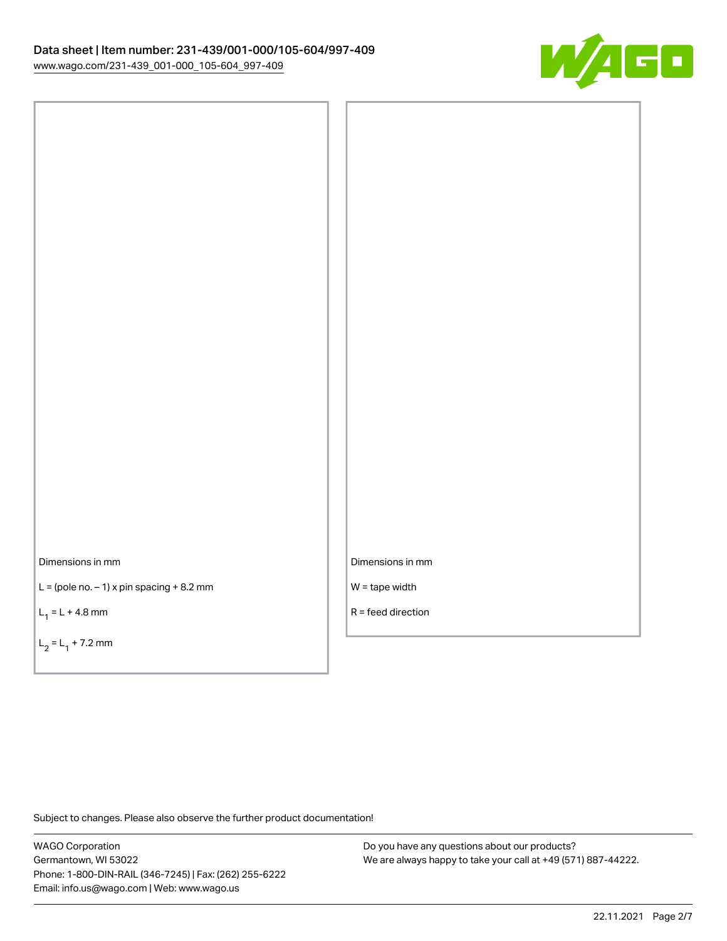

Dimensions in mm

 $L =$  (pole no.  $-1$ ) x pin spacing  $+8.2$  mm

 $L_1 = L + 4.8$  mm

 $L_2 = L_1 + 7.2$  mm

Dimensions in mm

W = tape width

R = feed direction

Subject to changes. Please also observe the further product documentation!

WAGO Corporation Germantown, WI 53022 Phone: 1-800-DIN-RAIL (346-7245) | Fax: (262) 255-6222 Email: info.us@wago.com | Web: www.wago.us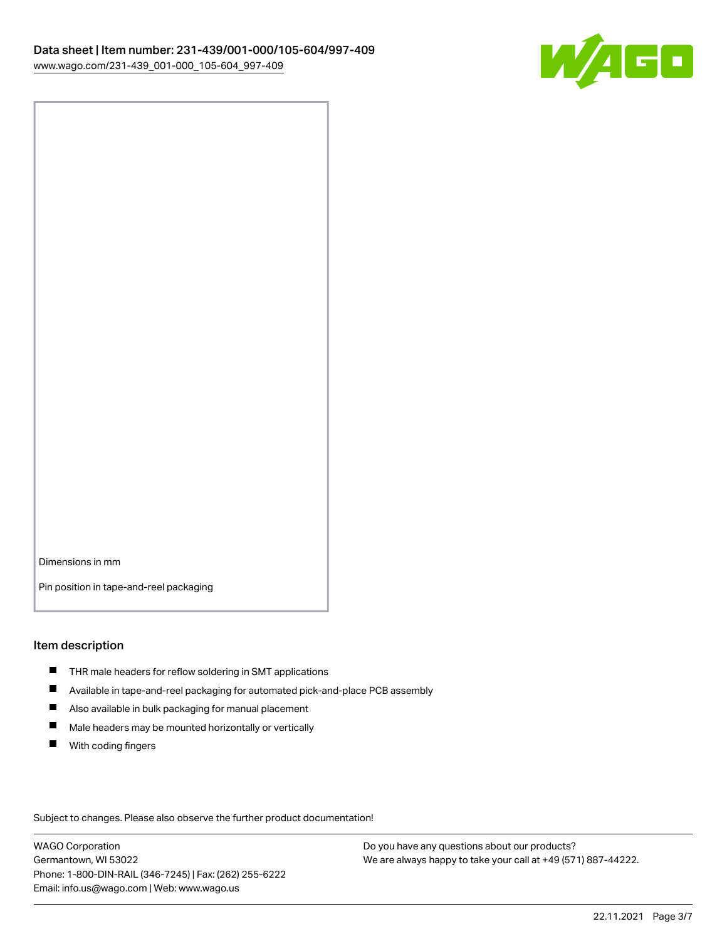

Dimensions in mm

Pin position in tape-and-reel packaging

#### Item description

- **THR** male headers for reflow soldering in SMT applications
- $\blacksquare$ Available in tape-and-reel packaging for automated pick-and-place PCB assembly
- $\blacksquare$ Also available in bulk packaging for manual placement
- $\blacksquare$ Male headers may be mounted horizontally or vertically
- **With coding fingers**

Subject to changes. Please also observe the further product documentation!

WAGO Corporation Germantown, WI 53022 Phone: 1-800-DIN-RAIL (346-7245) | Fax: (262) 255-6222 Email: info.us@wago.com | Web: www.wago.us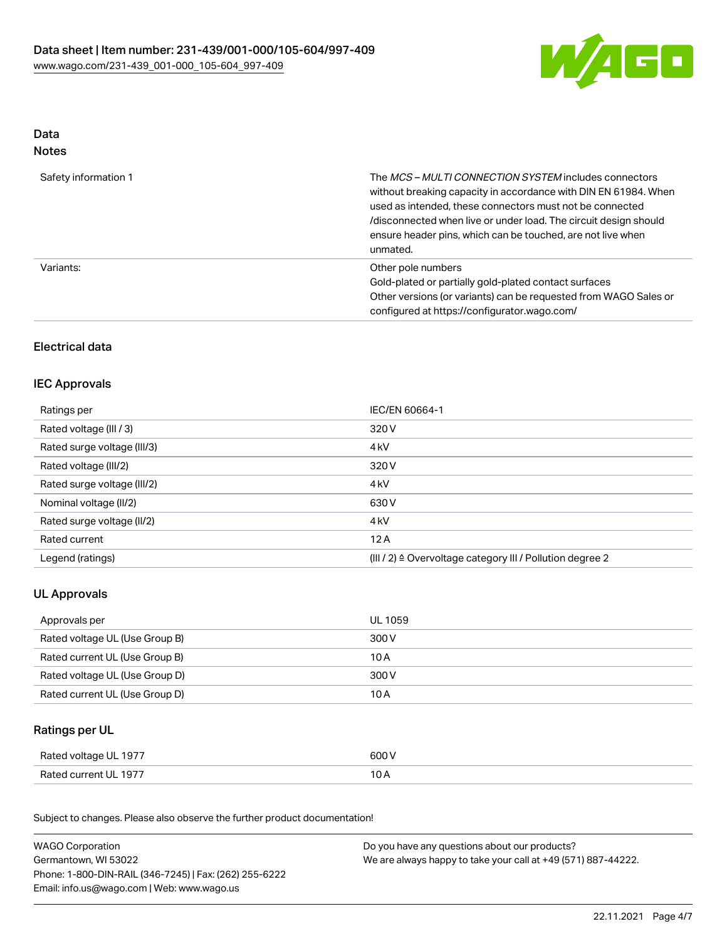

# Data Notes

| Safety information 1 | The <i>MCS - MULTI CONNECTION SYSTEM</i> includes connectors<br>without breaking capacity in accordance with DIN EN 61984. When<br>used as intended, these connectors must not be connected<br>/disconnected when live or under load. The circuit design should<br>ensure header pins, which can be touched, are not live when<br>unmated. |
|----------------------|--------------------------------------------------------------------------------------------------------------------------------------------------------------------------------------------------------------------------------------------------------------------------------------------------------------------------------------------|
| Variants:            | Other pole numbers<br>Gold-plated or partially gold-plated contact surfaces<br>Other versions (or variants) can be requested from WAGO Sales or<br>configured at https://configurator.wago.com/                                                                                                                                            |

# Electrical data

# IEC Approvals

| Ratings per                 | IEC/EN 60664-1                                            |
|-----------------------------|-----------------------------------------------------------|
| Rated voltage (III / 3)     | 320 V                                                     |
| Rated surge voltage (III/3) | 4 <sub>kV</sub>                                           |
| Rated voltage (III/2)       | 320 V                                                     |
| Rated surge voltage (III/2) | 4 <sub>k</sub> V                                          |
| Nominal voltage (II/2)      | 630 V                                                     |
| Rated surge voltage (II/2)  | 4 <sub>k</sub> V                                          |
| Rated current               | 12A                                                       |
| Legend (ratings)            | (III / 2) ≙ Overvoltage category III / Pollution degree 2 |

# UL Approvals

| Approvals per                  | UL 1059 |
|--------------------------------|---------|
| Rated voltage UL (Use Group B) | 300 V   |
| Rated current UL (Use Group B) | 10 A    |
| Rated voltage UL (Use Group D) | 300 V   |
| Rated current UL (Use Group D) | 10 A    |

## Ratings per UL

| Rated voltage UL 1977 | 600 V |
|-----------------------|-------|
| Rated current UL 1977 | 10 A  |

Subject to changes. Please also observe the further product documentation!

| <b>WAGO Corporation</b>                                | Do you have any questions about our products?                 |
|--------------------------------------------------------|---------------------------------------------------------------|
| Germantown, WI 53022                                   | We are always happy to take your call at +49 (571) 887-44222. |
| Phone: 1-800-DIN-RAIL (346-7245)   Fax: (262) 255-6222 |                                                               |
| Email: info.us@wago.com   Web: www.wago.us             |                                                               |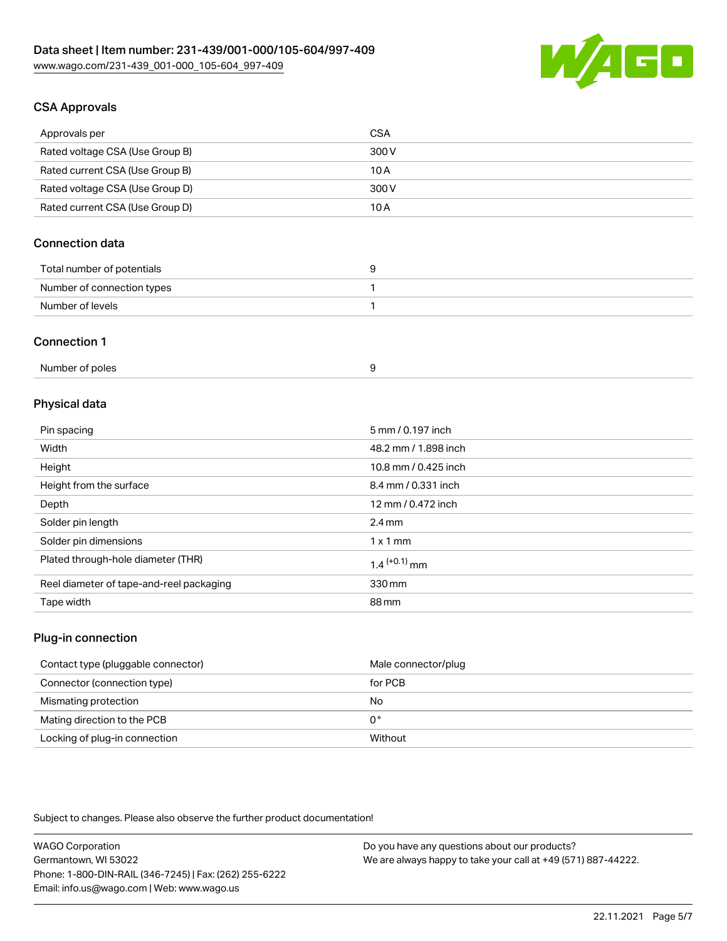

# CSA Approvals

| Approvals per                   | CSA   |
|---------------------------------|-------|
| Rated voltage CSA (Use Group B) | 300 V |
| Rated current CSA (Use Group B) | 10 A  |
| Rated voltage CSA (Use Group D) | 300 V |
| Rated current CSA (Use Group D) | 10 A  |

# Connection data

| Total number of potentials |  |
|----------------------------|--|
| Number of connection types |  |
| Number of levels           |  |

#### Connection 1

| Number of poles |  |
|-----------------|--|
|-----------------|--|

## Physical data

| Pin spacing                              | 5 mm / 0.197 inch    |
|------------------------------------------|----------------------|
| Width                                    | 48.2 mm / 1.898 inch |
| Height                                   | 10.8 mm / 0.425 inch |
| Height from the surface                  | 8.4 mm / 0.331 inch  |
| Depth                                    | 12 mm / 0.472 inch   |
| Solder pin length                        | $2.4 \text{ mm}$     |
| Solder pin dimensions                    | $1 \times 1$ mm      |
| Plated through-hole diameter (THR)       | $1.4$ $(+0.1)$ mm    |
| Reel diameter of tape-and-reel packaging | 330 mm               |
| Tape width                               | 88 mm                |

## Plug-in connection

| Contact type (pluggable connector) | Male connector/plug |
|------------------------------------|---------------------|
| Connector (connection type)        | for PCB             |
| Mismating protection               | No                  |
| Mating direction to the PCB        | 0°                  |
| Locking of plug-in connection      | Without             |

Subject to changes. Please also observe the further product documentation!

| <b>WAGO Corporation</b>                                | Do you have any questions about our products?                 |
|--------------------------------------------------------|---------------------------------------------------------------|
| Germantown, WI 53022                                   | We are always happy to take your call at +49 (571) 887-44222. |
| Phone: 1-800-DIN-RAIL (346-7245)   Fax: (262) 255-6222 |                                                               |
| Email: info.us@wago.com   Web: www.wago.us             |                                                               |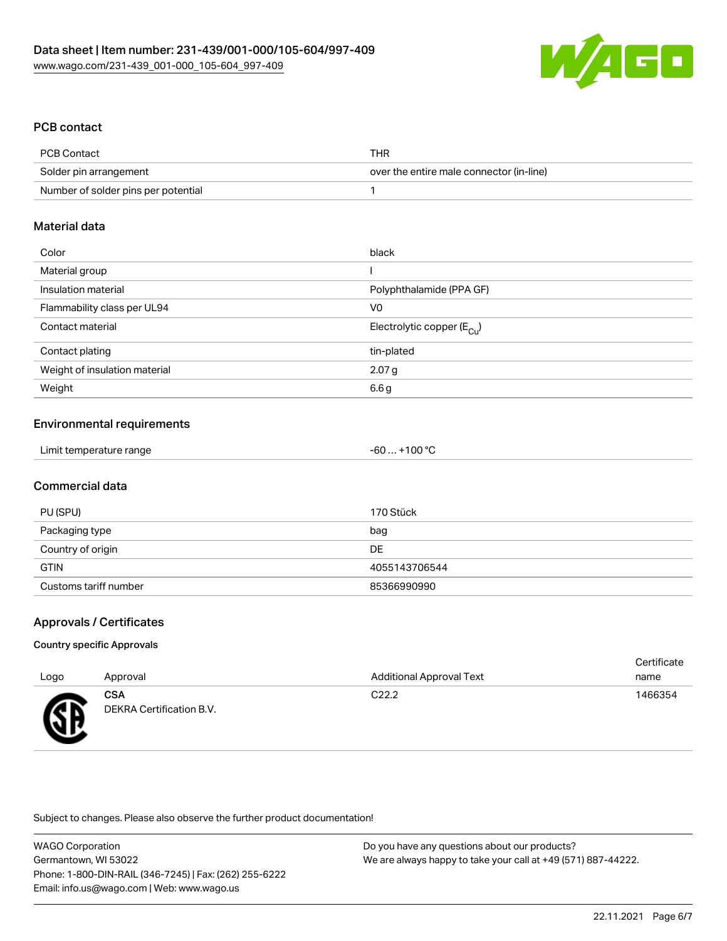

## PCB contact

| PCB Contact                         | THR                                      |
|-------------------------------------|------------------------------------------|
| Solder pin arrangement              | over the entire male connector (in-line) |
| Number of solder pins per potential |                                          |

#### Material data

| Color                         | black                                 |
|-------------------------------|---------------------------------------|
| Material group                |                                       |
| Insulation material           | Polyphthalamide (PPA GF)              |
| Flammability class per UL94   | V0                                    |
| Contact material              | Electrolytic copper $(E_{\text{Cl}})$ |
| Contact plating               | tin-plated                            |
| Weight of insulation material | 2.07 g                                |
| Weight                        | 6.6 g                                 |
|                               |                                       |

## Environmental requirements

| Limit temperature range<br>-60 | $. +100 °C$ |
|--------------------------------|-------------|
|--------------------------------|-------------|

## Commercial data

| PU (SPU)              | 170 Stück     |
|-----------------------|---------------|
| Packaging type        | bag           |
| Country of origin     | DE            |
| <b>GTIN</b>           | 4055143706544 |
| Customs tariff number | 85366990990   |

# Approvals / Certificates

#### Country specific Approvals

|      |                                        |                                 | Certificate |
|------|----------------------------------------|---------------------------------|-------------|
| Logo | Approval                               | <b>Additional Approval Text</b> | name        |
| Æ    | <b>CSA</b><br>DEKRA Certification B.V. | C <sub>22.2</sub>               | 1466354     |

Subject to changes. Please also observe the further product documentation!

WAGO Corporation Germantown, WI 53022 Phone: 1-800-DIN-RAIL (346-7245) | Fax: (262) 255-6222 Email: info.us@wago.com | Web: www.wago.us